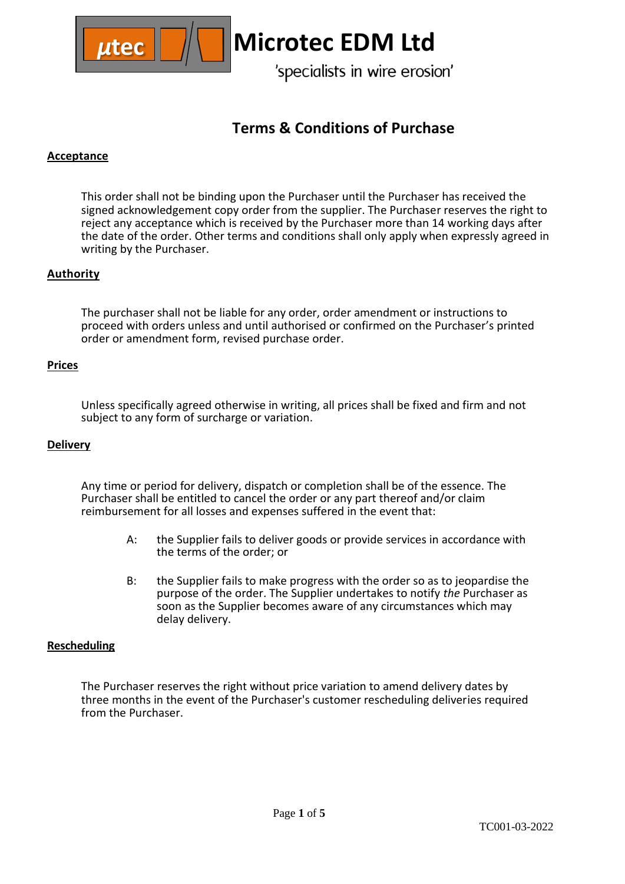

# **Terms & Conditions of Purchase**

# **Acceptance**

This order shall not be binding upon the Purchaser until the Purchaser has received the signed acknowledgement copy order from the supplier. The Purchaser reserves the right to reject any acceptance which is received by the Purchaser more than 14 working days after the date of the order. Other terms and conditions shall only apply when expressly agreed in writing by the Purchaser.

# **Authority**

The purchaser shall not be liable for any order, order amendment or instructions to proceed with orders unless and until authorised or confirmed on the Purchaser's printed order or amendment form, revised purchase order.

# **Prices**

Unless specifically agreed otherwise in writing, all prices shall be fixed and firm and not subject to any form of surcharge or variation.

## **Delivery**

Any time or period for delivery, dispatch or completion shall be of the essence. The Purchaser shall be entitled to cancel the order or any part thereof and/or claim reimbursement for all losses and expenses suffered in the event that:

- A: the Supplier fails to deliver goods or provide services in accordance with the terms of the order; or
- B: the Supplier fails to make progress with the order so as to jeopardise the purpose of the order. The Supplier undertakes to notify *the* Purchaser as soon as the Supplier becomes aware of any circumstances which may delay delivery.

## **Rescheduling**

The Purchaser reserves the right without price variation to amend delivery dates by three months in the event of the Purchaser's customer rescheduling deliveries required from the Purchaser.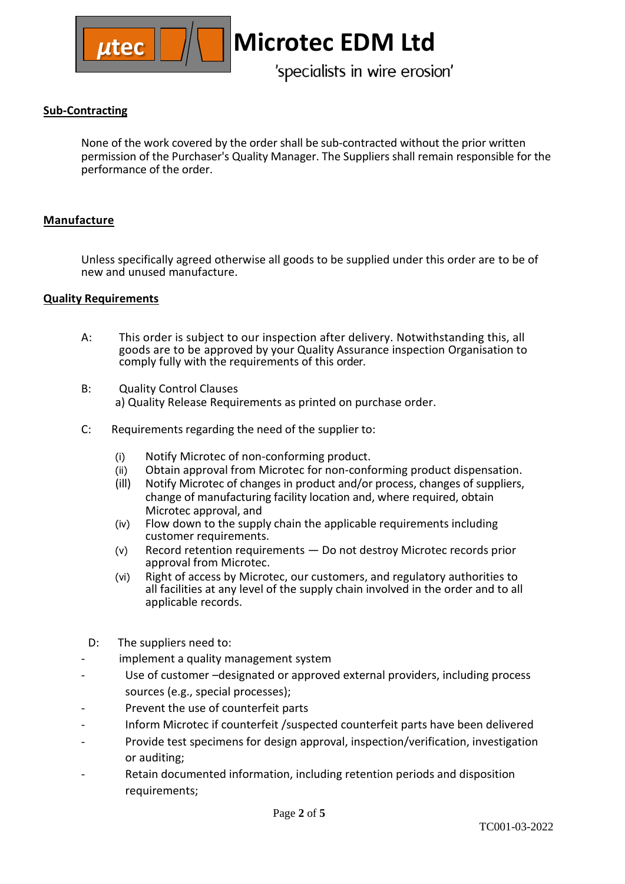

# **Sub-Contracting**

None of the work covered by the order shall be sub-contracted without the prior written permission of the Purchaser's Quality Manager. The Suppliers shall remain responsible for the performance of the order.

# **Manufacture**

Unless specifically agreed otherwise all goods to be supplied under this order are to be of new and unused manufacture.

# **Quality Requirements**

- A: This order is subject to our inspection after delivery. Notwithstanding this, all goods are to be approved by your Quality Assurance inspection Organisation to comply fully with the requirements of this order.
- B: Quality Control Clauses a) Quality Release Requirements as printed on purchase order.
- C: Requirements regarding the need of the supplier to:
	- (i) Notify Microtec of non-conforming product.
	- (ii) Obtain approval from Microtec for non-conforming product dispensation.
	- (ill) Notify Microtec of changes in product and/or process, changes of suppliers, change of manufacturing facility location and, where required, obtain Microtec approval, and
	- (iv) Flow down to the supply chain the applicable requirements including customer requirements.
	- (v) Record retention requirements Do not destroy Microtec records prior approval from Microtec.
	- (vi) Right of access by Microtec, our customers, and regulatory authorities to all facilities at any level of the supply chain involved in the order and to all applicable records.
- D: The suppliers need to:
- implement a quality management system
- Use of customer -designated or approved external providers, including process sources (e.g., special processes);
- Prevent the use of counterfeit parts
- Inform Microtec if counterfeit /suspected counterfeit parts have been delivered
- Provide test specimens for design approval, inspection/verification, investigation or auditing;
- Retain documented information, including retention periods and disposition requirements;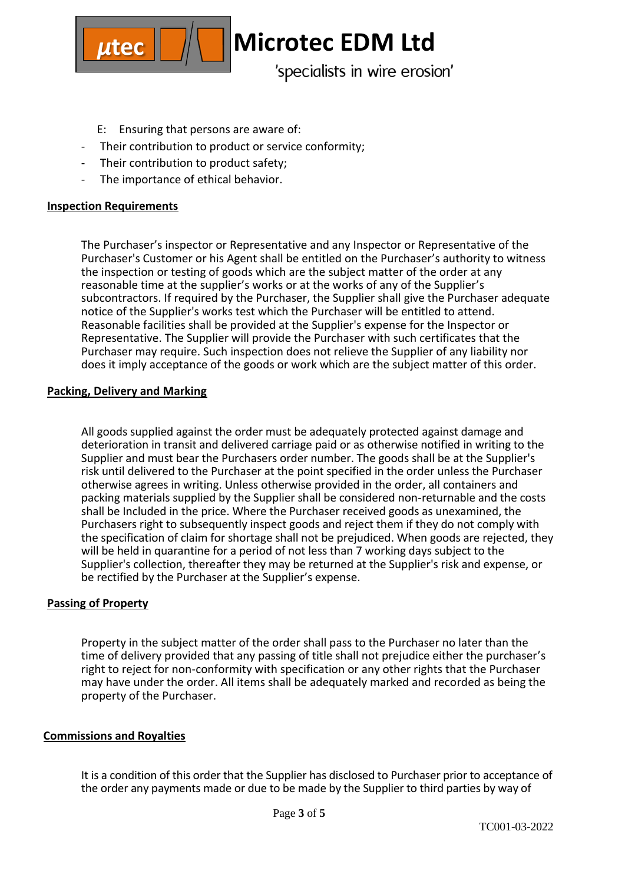

- E: Ensuring that persons are aware of:
- Their contribution to product or service conformity;
- Their contribution to product safety;
- The importance of ethical behavior.

# **Inspection Requirements**

The Purchaser's inspector or Representative and any Inspector or Representative of the Purchaser's Customer or his Agent shall be entitled on the Purchaser's authority to witness the inspection or testing of goods which are the subject matter of the order at any reasonable time at the supplier's works or at the works of any of the Supplier's subcontractors. If required by the Purchaser, the Supplier shall give the Purchaser adequate notice of the Supplier's works test which the Purchaser will be entitled to attend. Reasonable facilities shall be provided at the Supplier's expense for the Inspector or Representative. The Supplier will provide the Purchaser with such certificates that the Purchaser may require. Such inspection does not relieve the Supplier of any liability nor does it imply acceptance of the goods or work which are the subject matter of this order.

## **Packing, Delivery and Marking**

All goods supplied against the order must be adequately protected against damage and deterioration in transit and delivered carriage paid or as otherwise notified in writing to the Supplier and must bear the Purchasers order number. The goods shall be at the Supplier's risk until delivered to the Purchaser at the point specified in the order unless the Purchaser otherwise agrees in writing. Unless otherwise provided in the order, all containers and packing materials supplied by the Supplier shall be considered non-returnable and the costs shall be Included in the price. Where the Purchaser received goods as unexamined, the Purchasers right to subsequently inspect goods and reject them if they do not comply with the specification of claim for shortage shall not be prejudiced. When goods are rejected, they will be held in quarantine for a period of not less than 7 working days subject to the Supplier's collection, thereafter they may be returned at the Supplier's risk and expense, or be rectified by the Purchaser at the Supplier's expense.

# **Passing of Property**

Property in the subject matter of the order shall pass to the Purchaser no later than the time of delivery provided that any passing of title shall not prejudice either the purchaser's right to reject for non-conformity with specification or any other rights that the Purchaser may have under the order. All items shall be adequately marked and recorded as being the property of the Purchaser.

## **Commissions and Royalties**

It is a condition of this order that the Supplier has disclosed to Purchaser prior to acceptance of the order any payments made or due to be made by the Supplier to third parties by way of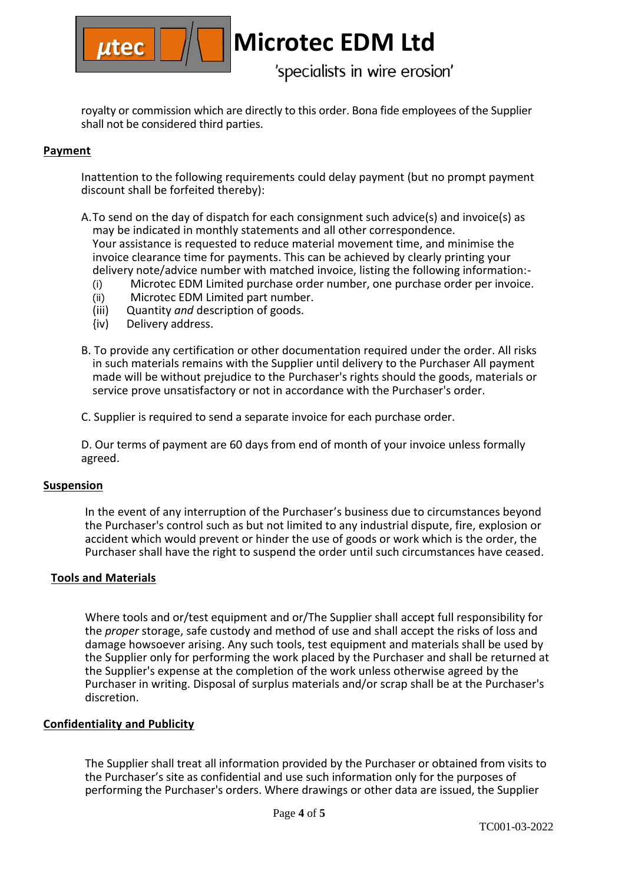

royalty or commission which are directly to this order. Bona fide employees of the Supplier shall not be considered third parties.

# **Payment**

Inattention to the following requirements could delay payment (but no prompt payment discount shall be forfeited thereby):

- A.To send on the day of dispatch for each consignment such advice(s) and invoice(s) as may be indicated in monthly statements and all other correspondence. Your assistance is requested to reduce material movement time, and minimise the invoice clearance time for payments. This can be achieved by clearly printing your delivery note/advice number with matched invoice, listing the following information:-
	- (i) Microtec EDM Limited purchase order number, one purchase order per invoice.
	- (ii) Microtec EDM Limited part number.<br>(iii) Quantity and description of goods.
	- (iii) Quantity *and* description of goods.
	- Delivery address.
- B. To provide any certification or other documentation required under the order. All risks in such materials remains with the Supplier until delivery to the Purchaser All payment made will be without prejudice to the Purchaser's rights should the goods, materials or service prove unsatisfactory or not in accordance with the Purchaser's order.
- C. Supplier is required to send a separate invoice for each purchase order.

D. Our terms of payment are 60 days from end of month of your invoice unless formally agreed.

## **Suspension**

In the event of any interruption of the Purchaser's business due to circumstances beyond the Purchaser's control such as but not limited to any industrial dispute, fire, explosion or accident which would prevent or hinder the use of goods or work which is the order, the Purchaser shall have the right to suspend the order until such circumstances have ceased.

## **Tools and Materials**

Where tools and or/test equipment and or/The Supplier shall accept full responsibility for the *proper* storage, safe custody and method of use and shall accept the risks of loss and damage howsoever arising. Any such tools, test equipment and materials shall be used by the Supplier only for performing the work placed by the Purchaser and shall be returned at the Supplier's expense at the completion of the work unless otherwise agreed by the Purchaser in writing. Disposal of surplus materials and/or scrap shall be at the Purchaser's discretion.

# **Confidentiality and Publicity**

The Supplier shall treat all information provided by the Purchaser or obtained from visits to the Purchaser's site as confidential and use such information only for the purposes of performing the Purchaser's orders. Where drawings or other data are issued, the Supplier